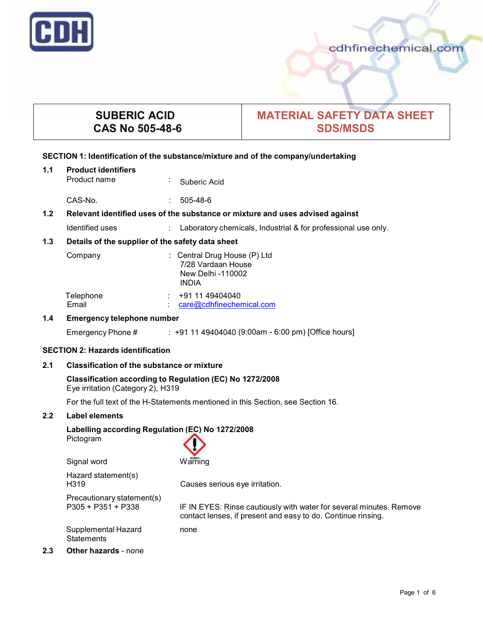

**2.3 Other hazards** - none

# **SUBERIC ACID CAS No 505-48-6**

# **MATERIAL SAFETY DATA SHEET SDS/MSDS**

# **SECTION 1: Identification of the substance/mixture and of the company/undertaking**

| 1.1                                                     | <b>Product identifiers</b><br>Product name<br>÷.                                              | Suberic Acid                                                                                  |  |  |  |  |
|---------------------------------------------------------|-----------------------------------------------------------------------------------------------|-----------------------------------------------------------------------------------------------|--|--|--|--|
|                                                         | CAS-No.                                                                                       | 505-48-6                                                                                      |  |  |  |  |
| 1.2                                                     | Relevant identified uses of the substance or mixture and uses advised against                 |                                                                                               |  |  |  |  |
|                                                         | Identified uses<br>$\mathbb{R}^{\mathbb{Z}}$                                                  | Laboratory chemicals, Industrial & for professional use only.                                 |  |  |  |  |
| 1.3<br>Details of the supplier of the safety data sheet |                                                                                               |                                                                                               |  |  |  |  |
|                                                         | Company                                                                                       | : Central Drug House (P) Ltd<br>7/28 Vardaan House<br><b>New Delhi-110002</b><br><b>INDIA</b> |  |  |  |  |
|                                                         | Telephone<br>Email                                                                            | $\div$ +91 11 49404040<br>care@cdhfinechemical.com                                            |  |  |  |  |
| 1.4                                                     | <b>Emergency telephone number</b>                                                             |                                                                                               |  |  |  |  |
|                                                         | Emergency Phone #                                                                             | : +91 11 49404040 (9:00am - 6:00 pm) [Office hours]                                           |  |  |  |  |
|                                                         | <b>SECTION 2: Hazards identification</b>                                                      |                                                                                               |  |  |  |  |
| 2.1                                                     | <b>Classification of the substance or mixture</b>                                             |                                                                                               |  |  |  |  |
|                                                         | Classification according to Regulation (EC) No 1272/2008<br>Eye irritation (Category 2), H319 |                                                                                               |  |  |  |  |
|                                                         | For the full text of the H-Statements mentioned in this Section, see Section 16.              |                                                                                               |  |  |  |  |
| 2.2                                                     | Label elements                                                                                |                                                                                               |  |  |  |  |
|                                                         | Labelling according Regulation (EC) No 1272/2008<br>Pictogram                                 |                                                                                               |  |  |  |  |

| Signal word                                        | Warning                                                                                                                             |
|----------------------------------------------------|-------------------------------------------------------------------------------------------------------------------------------------|
| Hazard statement(s)<br>H <sub>3</sub> 19           | Causes serious eye irritation.                                                                                                      |
| Precautionary statement(s)<br>$P305 + P351 + P338$ | IF IN EYES: Rinse cautiously with water for several minutes. Remove<br>contact lenses, if present and easy to do. Continue rinsing. |
| Supplemental Hazard<br><b>Statements</b>           | none                                                                                                                                |
| <b>Other hazards - none</b>                        |                                                                                                                                     |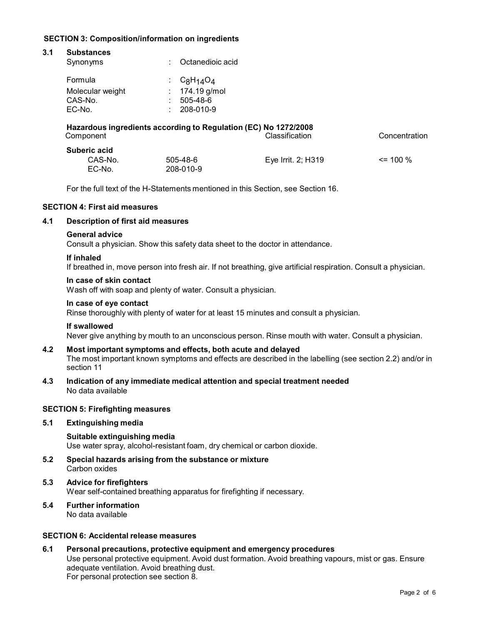# **SECTION 3: Composition/information on ingredients**

| 3.1 | <b>Substances</b>                                               |    |                  |                    |               |  |
|-----|-----------------------------------------------------------------|----|------------------|--------------------|---------------|--|
|     | Synonyms                                                        | ٠  | Octanedioic acid |                    |               |  |
|     | Formula                                                         | t. | $C_8H_{14}O_4$   |                    |               |  |
|     | Molecular weight                                                |    | 174.19 g/mol     |                    |               |  |
|     | CAS-No.                                                         |    | $505 - 48 - 6$   |                    |               |  |
|     | EC-No.                                                          | ٠  | 208-010-9        |                    |               |  |
|     | Hazardous ingredients according to Regulation (EC) No 1272/2008 |    |                  |                    |               |  |
|     | Component                                                       |    |                  | Classification     | Concentration |  |
|     | Suberic acid                                                    |    |                  |                    |               |  |
|     | CAS-No.                                                         |    | $505 - 48 - 6$   | Eye Irrit. 2; H319 | $\leq$ 100 %  |  |
|     | EC-No.                                                          |    | 208-010-9        |                    |               |  |

For the full text of the H-Statements mentioned in this Section, see Section 16.

# **SECTION 4: First aid measures**

#### **4.1 Description of first aid measures**

#### **General advice**

Consult a physician. Show this safety data sheet to the doctor in attendance.

#### **If inhaled**

If breathed in, move person into fresh air. If not breathing, give artificial respiration. Consult a physician.

#### **In case of skin contact**

Wash off with soap and plenty of water. Consult a physician.

#### **In case of eye contact**

Rinse thoroughly with plenty of water for at least 15 minutes and consult a physician.

#### **If swallowed**

Never give anything by mouth to an unconscious person. Rinse mouth with water. Consult a physician.

# **4.2 Most important symptoms and effects, both acute and delayed**

The most important known symptoms and effects are described in the labelling (see section 2.2) and/or in section 11

**4.3 Indication of any immediate medical attention and special treatment needed** No data available

# **SECTION 5: Firefighting measures**

#### **5.1 Extinguishing media**

**Suitable extinguishing media** Use water spray, alcohol-resistant foam, dry chemical or carbon dioxide.

- **5.2 Special hazards arising from the substance ormixture** Carbon oxides
- **5.3 Advice for firefighters** Wear self-contained breathing apparatus for firefighting if necessary.

#### **5.4 Further information** No data available

# **SECTION 6: Accidental release measures**

**6.1 Personal precautions, protective equipment and emergency procedures** Use personal protective equipment. Avoid dust formation. Avoid breathing vapours, mist or gas. Ensure adequate ventilation. Avoid breathing dust. For personal protection see section 8.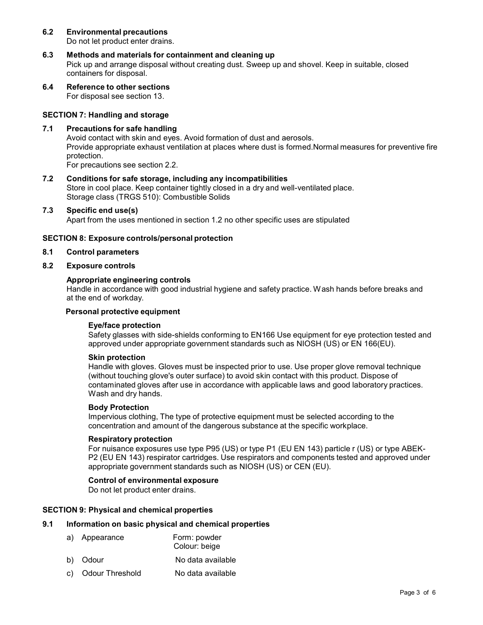# **6.2 Environmental precautions**

Do not let product enter drains.

- **6.3 Methods and materials for containment and cleaning up** Pick up and arrange disposal without creating dust. Sweep up and shovel. Keep in suitable, closed containers for disposal.
- **6.4 Reference to other sections** For disposal see section 13.

# **SECTION 7: Handling and storage**

#### **7.1 Precautions for safe handling**

Avoid contact with skin and eyes. Avoid formation of dust and aerosols. Provide appropriate exhaust ventilation at places where dust is formed.Normal measures for preventive fire protection.

For precautions see section 2.2.

**7.2 Conditions for safe storage, including any incompatibilities** Store in cool place. Keep container tightly closed in a dry and well-ventilated place. Storage class (TRGS 510): Combustible Solids

#### **7.3 Specific end use(s)**

Apart from the uses mentioned in section 1.2 no other specific uses are stipulated

#### **SECTION 8: Exposure controls/personal protection**

#### **8.1 Control parameters**

# **8.2 Exposure controls**

#### **Appropriate engineering controls**

Handle in accordance with good industrial hygiene and safety practice. Wash hands before breaks and at the end of workday.

#### **Personal protective equipment**

#### **Eye/face protection**

Safety glasses with side-shields conforming to EN166 Use equipment for eye protection tested and approved under appropriate government standards such as NIOSH (US) or EN 166(EU).

#### **Skin protection**

Handle with gloves. Gloves must be inspected prior to use. Use proper glove removal technique (without touching glove's outer surface) to avoid skin contact with this product. Dispose of contaminated gloves after use in accordance with applicable laws and good laboratory practices. Wash and dry hands.

#### **Body Protection**

Impervious clothing, The type of protective equipment must be selected according to the concentration and amount of the dangerous substance at the specific workplace.

#### **Respiratory protection**

For nuisance exposures use type P95 (US) or type P1 (EU EN 143) particle r (US) or type ABEK- P2 (EU EN 143) respirator cartridges. Use respirators and components tested and approved under appropriate government standards such as NIOSH (US) or CEN (EU).

#### **Control of environmental exposure**

Do not let product enter drains.

#### **SECTION 9: Physical and chemical properties**

# **9.1 Information on basic physical and chemical properties**

- a) Appearance Form: powder
	- Colour: beige
- b) Odour No data available
- c) Odour Threshold No data available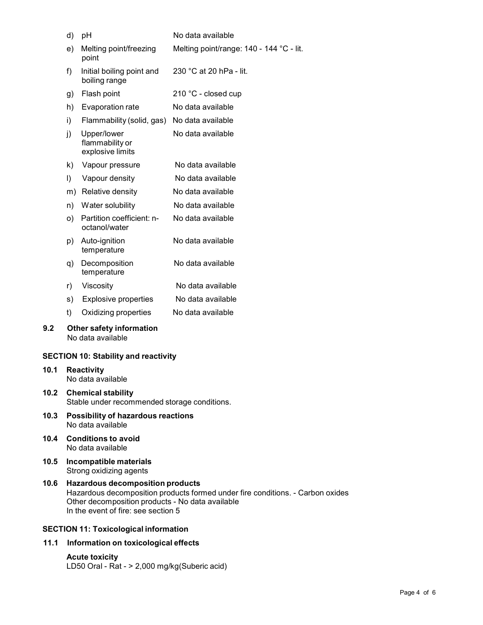|                   | d)                                                                                                                                                                                                              | рH                                                   | No data available                        |  |
|-------------------|-----------------------------------------------------------------------------------------------------------------------------------------------------------------------------------------------------------------|------------------------------------------------------|------------------------------------------|--|
|                   | e)                                                                                                                                                                                                              | Melting point/freezing<br>point                      | Melting point/range: 140 - 144 °C - lit. |  |
|                   | f)                                                                                                                                                                                                              | Initial boiling point and<br>boiling range           | 230 °C at 20 hPa - lit.                  |  |
|                   | g)                                                                                                                                                                                                              | Flash point                                          | 210 °C - closed cup                      |  |
|                   | h)                                                                                                                                                                                                              | Evaporation rate                                     | No data available                        |  |
|                   | i)                                                                                                                                                                                                              | Flammability (solid, gas)                            | No data available                        |  |
|                   | j)                                                                                                                                                                                                              | Upper/lower<br>flammability or<br>explosive limits   | No data available                        |  |
|                   | k)                                                                                                                                                                                                              | Vapour pressure                                      | No data available                        |  |
|                   | I)                                                                                                                                                                                                              | Vapour density                                       | No data available                        |  |
|                   | m)                                                                                                                                                                                                              | Relative density                                     | No data available                        |  |
|                   | n)                                                                                                                                                                                                              | Water solubility                                     | No data available                        |  |
|                   | $\circ$ )                                                                                                                                                                                                       | Partition coefficient: n-<br>octanol/water           | No data available                        |  |
|                   | p)                                                                                                                                                                                                              | Auto-ignition<br>temperature                         | No data available                        |  |
|                   | q)                                                                                                                                                                                                              | Decomposition<br>temperature                         | No data available                        |  |
|                   | r)                                                                                                                                                                                                              | Viscosity                                            | No data available                        |  |
|                   | s)                                                                                                                                                                                                              | <b>Explosive properties</b>                          | No data available                        |  |
|                   | t)                                                                                                                                                                                                              | Oxidizing properties                                 | No data available                        |  |
| 9.2               |                                                                                                                                                                                                                 | <b>Other safety information</b><br>No data available |                                          |  |
|                   |                                                                                                                                                                                                                 | <b>SECTION 10: Stability and reactivity</b>          |                                          |  |
| 10.1              |                                                                                                                                                                                                                 | <b>Reactivity</b><br>No data available               |                                          |  |
| 10.2 <sub>1</sub> | <b>Chemical stability</b><br>Stable under recommended storage conditions.                                                                                                                                       |                                                      |                                          |  |
| 10.3              | Possibility of hazardous reactions<br>No data available                                                                                                                                                         |                                                      |                                          |  |
| 10.4              |                                                                                                                                                                                                                 | <b>Conditions to avoid</b><br>No data available      |                                          |  |
| 10.5              |                                                                                                                                                                                                                 | Incompatible materials<br>Strong oxidizing agents    |                                          |  |
| 10.6              | <b>Hazardous decomposition products</b><br>Hazardous decomposition products formed under fire conditions. - Carbon o<br>Other decomposition products - No data available<br>In the event of fire: see section 5 |                                                      |                                          |  |

# **SECTION 11: Toxicological information**

# **11.1 Information on toxicological effects**

**Acute toxicity** LD50 Oral - Rat - > 2,000 mg/kg(Suberic acid) Carbon oxides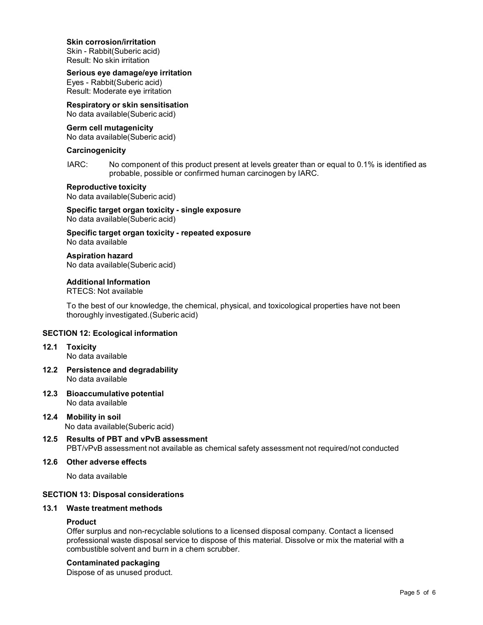#### **Skin corrosion/irritation**

Skin - Rabbit(Suberic acid) Result: No skin irritation

#### **Serious eye damage/eye irritation**

Eyes - Rabbit(Suberic acid) Result: Moderate eye irritation

# **Respiratory orskin sensitisation**

No data available(Suberic acid)

# **Germ cell mutagenicity**

No data available(Suberic acid)

#### **Carcinogenicity**

IARC: No component of this product present at levels greater than or equal to 0.1% is identified as probable, possible or confirmed human carcinogen by IARC.

#### **Reproductive toxicity**

No data available(Suberic acid)

#### **Specific target organ toxicity - single exposure** No data available(Suberic acid)

**Specific target organ toxicity - repeated exposure** No data available

#### **Aspiration hazard**

No data available(Suberic acid)

# **Additional Information**

RTECS: Not available

To the best of our knowledge, the chemical, physical, and toxicological properties have not been thoroughly investigated.(Suberic acid)

# **SECTION 12: Ecological information**

- **12.1 Toxicity** No data available
- **12.2 Persistence and degradability** No data available
- **12.3 Bioaccumulative potential** No data available
- **12.4 Mobility in soil** No data available(Suberic acid)
- **12.5 Results of PBT and vPvB assessment** PBT/vPvB assessment not available as chemical safety assessment not required/not conducted

# **12.6 Other adverse effects**

No data available

# **SECTION 13: Disposal considerations**

#### **13.1 Waste treatment methods**

# **Product**

Offer surplus and non-recyclable solutions to a licensed disposal company. Contact a licensed professional waste disposal service to dispose of this material. Dissolve or mix the material with a combustible solvent and burn in a chem scrubber.

#### **Contaminated packaging**

Dispose of as unused product.